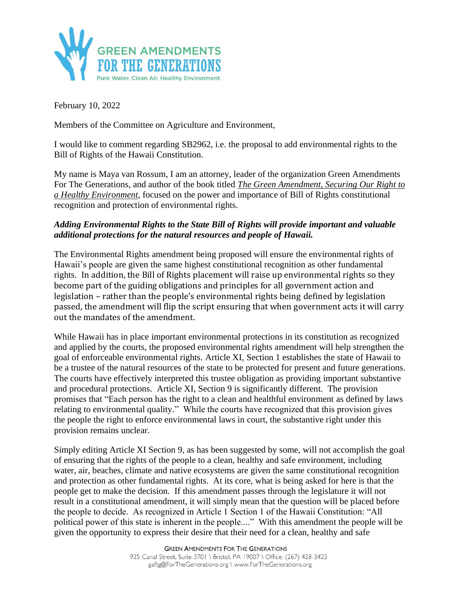

February 10, 2022

Members of the Committee on Agriculture and Environment,

I would like to comment regarding SB2962, i.e. the proposal to add environmental rights to the Bill of Rights of the Hawaii Constitution.

My name is Maya van Rossum, I am an attorney, leader of the organization Green Amendments For The Generations, and author of the book titled *The Green Amendment, Securing Our Right to a Healthy Environment*, focused on the power and importance of Bill of Rights constitutional recognition and protection of environmental rights.

## *Adding Environmental Rights to the State Bill of Rights will provide important and valuable additional protections for the natural resources and people of Hawaii.*

The Environmental Rights amendment being proposed will ensure the environmental rights of Hawaii's people are given the same highest constitutional recognition as other fundamental rights. In addition, the Bill of Rights placement will raise up environmental rights so they become part of the guiding obligations and principles for all government action and legislation – rather than the people's environmental rights being defined by legislation passed, the amendment will flip the script ensuring that when government acts it will carry out the mandates of the amendment.

While Hawaii has in place important environmental protections in its constitution as recognized and applied by the courts, the proposed environmental rights amendment will help strengthen the goal of enforceable environmental rights. Article XI, Section 1 establishes the state of Hawaii to be a trustee of the natural resources of the state to be protected for present and future generations. The courts have effectively interpreted this trustee obligation as providing important substantive and procedural protections. Article XI, Section 9 is significantly different. The provision promises that "Each person has the right to a clean and healthful environment as defined by laws relating to environmental quality." While the courts have recognized that this provision gives the people the right to enforce environmental laws in court, the substantive right under this provision remains unclear.

Simply editing Article XI Section 9, as has been suggested by some, will not accomplish the goal of ensuring that the rights of the people to a clean, healthy and safe environment, including water, air, beaches, climate and native ecosystems are given the same constitutional recognition and protection as other fundamental rights. At its core, what is being asked for here is that the people get to make the decision. If this amendment passes through the legislature it will not result in a constitutional amendment, it will simply mean that the question will be placed before the people to decide. As recognized in Article 1 Section 1 of the Hawaii Constitution: "All political power of this state is inherent in the people...." With this amendment the people will be given the opportunity to express their desire that their need for a clean, healthy and safe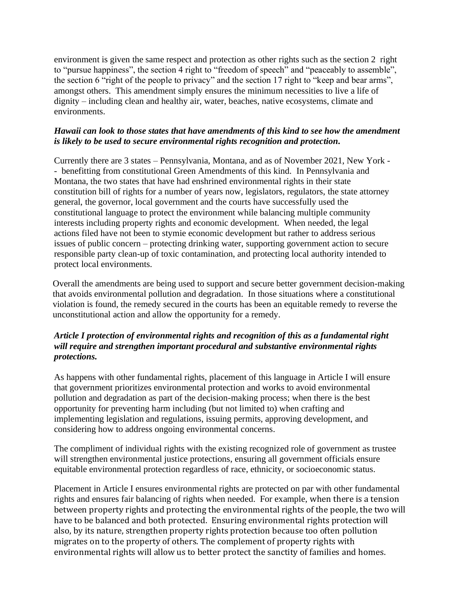environment is given the same respect and protection as other rights such as the section 2 right to "pursue happiness", the section 4 right to "freedom of speech" and "peaceably to assemble", the section 6 "right of the people to privacy" and the section 17 right to "keep and bear arms", amongst others. This amendment simply ensures the minimum necessities to live a life of dignity – including clean and healthy air, water, beaches, native ecosystems, climate and environments.

## *Hawaii can look to those states that have amendments of this kind to see how the amendment is likely to be used to secure environmental rights recognition and protection.*

Currently there are 3 states – Pennsylvania, Montana, and as of November 2021, New York - - benefitting from constitutional Green Amendments of this kind. In Pennsylvania and Montana, the two states that have had enshrined environmental rights in their state constitution bill of rights for a number of years now, legislators, regulators, the state attorney general, the governor, local government and the courts have successfully used the constitutional language to protect the environment while balancing multiple community interests including property rights and economic development. When needed, the legal actions filed have not been to stymie economic development but rather to address serious issues of public concern – protecting drinking water, supporting government action to secure responsible party clean-up of toxic contamination, and protecting local authority intended to protect local environments.

Overall the amendments are being used to support and secure better government decision-making that avoids environmental pollution and degradation. In those situations where a constitutional violation is found, the remedy secured in the courts has been an equitable remedy to reverse the unconstitutional action and allow the opportunity for a remedy.

## *Article I protection of environmental rights and recognition of this as a fundamental right will require and strengthen important procedural and substantive environmental rights protections.*

As happens with other fundamental rights, placement of this language in Article I will ensure that government prioritizes environmental protection and works to avoid environmental pollution and degradation as part of the decision-making process; when there is the best opportunity for preventing harm including (but not limited to) when crafting and implementing legislation and regulations, issuing permits, approving development, and considering how to address ongoing environmental concerns.

The compliment of individual rights with the existing recognized role of government as trustee will strengthen environmental justice protections, ensuring all government officials ensure equitable environmental protection regardless of race, ethnicity, or socioeconomic status.

Placement in Article I ensures environmental rights are protected on par with other fundamental rights and ensures fair balancing of rights when needed. For example, when there is a tension between property rights and protecting the environmental rights of the people, the two will have to be balanced and both protected. Ensuring environmental rights protection will also, by its nature, strengthen property rights protection because too often pollution migrates on to the property of others. The complement of property rights with environmental rights will allow us to better protect the sanctity of families and homes.